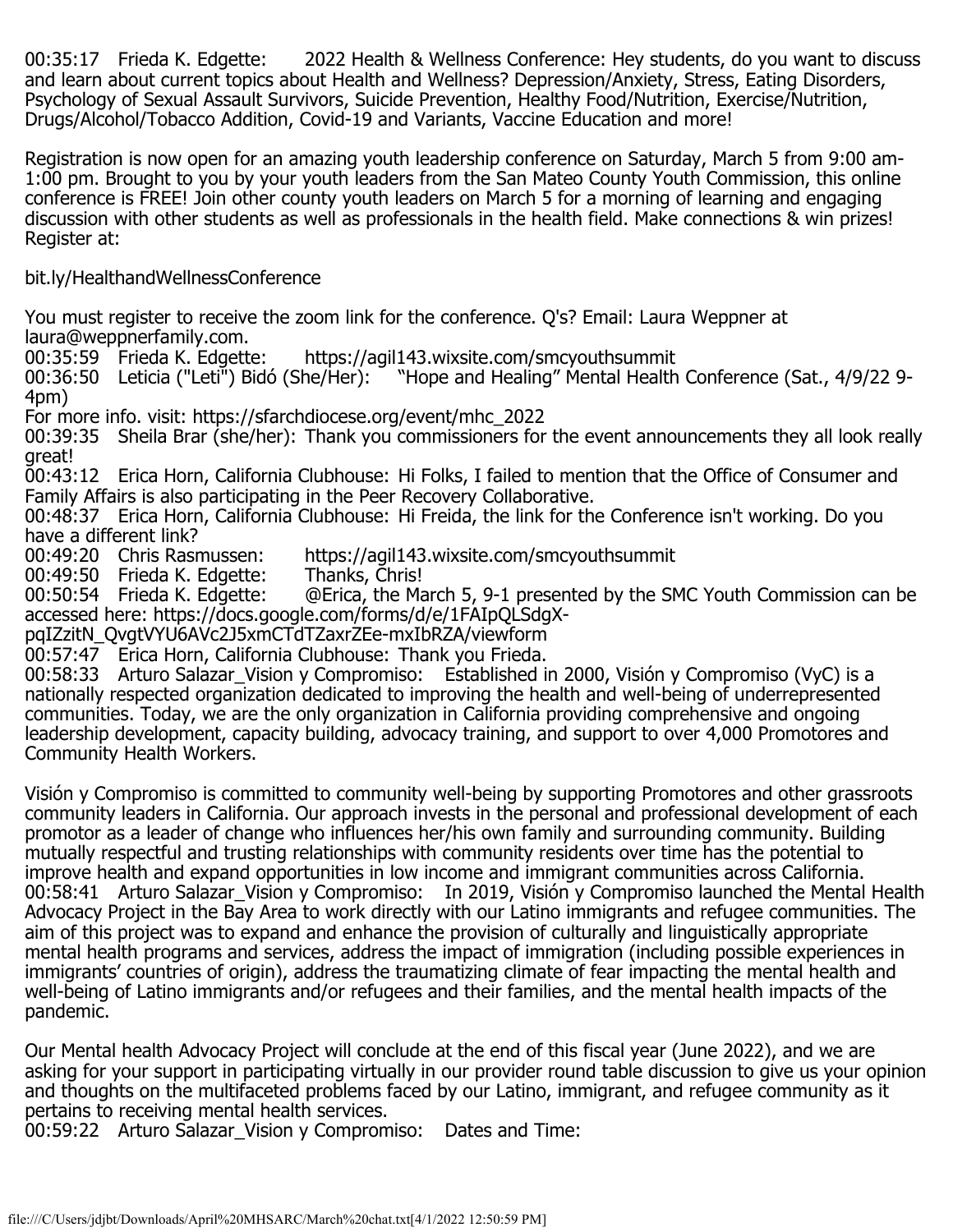00:35:17 Frieda K. Edgette: 2022 Health & Wellness Conference: Hey students, do you want to discuss and learn about current topics about Health and Wellness? Depression/Anxiety, Stress, Eating Disorders, Psychology of Sexual Assault Survivors, Suicide Prevention, Healthy Food/Nutrition, Exercise/Nutrition, Drugs/Alcohol/Tobacco Addition, Covid-19 and Variants, Vaccine Education and more!

Registration is now open for an amazing youth leadership conference on Saturday, March 5 from 9:00 am-1:00 pm. Brought to you by your youth leaders from the San Mateo County Youth Commission, this online conference is FREE! Join other county youth leaders on March 5 for a morning of learning and engaging discussion with other students as well as professionals in the health field. Make connections & win prizes! Register at:

bit.ly/HealthandWellnessConference

You must register to receive the zoom link for the conference. Q's? Email: Laura Weppner at laura@weppnerfamily.com.<br>00:35:59 Frieda K. Edgette:

00:35:59 Frieda K. Edgette: https://agil143.wixsite.com/smcyouthsummit<br>00:36:50 Leticia ("Leti") Bidó (She/Her): "Hope and Healing" Mental Health "Hope and Healing" Mental Health Conference (Sat.,  $4/9/22$  9-4pm)

For more info. visit: https://sfarchdiocese.org/event/mhc\_2022

00:39:35 Sheila Brar (she/her): Thank you commissioners for the event announcements they all look really great!

00:43:12 Erica Horn, California Clubhouse: Hi Folks, I failed to mention that the Office of Consumer and Family Affairs is also participating in the Peer Recovery Collaborative.

00:48:37 Erica Horn, California Clubhouse: Hi Freida, the link for the Conference isn't working. Do you have a different link?<br>00:49:20 Chris Rasmussen:

https://agil143.wixsite.com/smcyouthsummit<br>Thanks, Chris!

00:49:50 Frieda K. Edgette:<br>00:50:54 Frieda K. Edgette:

00:50:54 Frieda K. Edgette: @Erica, the March 5, 9-1 presented by the SMC Youth Commission can be accessed here: https://docs.google.com/forms/d/e/1FAIpQLSdgX-

pqIZzitN\_QvgtVYU6AVc2J5xmCTdTZaxrZEe-mxIbRZA/viewform

00:57:47 Erica Horn, California Clubhouse: Thank you Frieda.

00:58:33 Arturo Salazar\_Vision y Compromiso: Established in 2000, Visión y Compromiso (VyC) is a nationally respected organization dedicated to improving the health and well-being of underrepresented communities. Today, we are the only organization in California providing comprehensive and ongoing leadership development, capacity building, advocacy training, and support to over 4,000 Promotores and Community Health Workers.

Visión y Compromiso is committed to community well-being by supporting Promotores and other grassroots community leaders in California. Our approach invests in the personal and professional development of each promotor as a leader of change who influences her/his own family and surrounding community. Building mutually respectful and trusting relationships with community residents over time has the potential to improve health and expand opportunities in low income and immigrant communities across California. 00:58:41 Arturo Salazar\_Vision y Compromiso: In 2019, Visión y Compromiso launched the Mental Health Advocacy Project in the Bay Area to work directly with our Latino immigrants and refugee communities. The aim of this project was to expand and enhance the provision of culturally and linguistically appropriate mental health programs and services, address the impact of immigration (including possible experiences in immigrants' countries of origin), address the traumatizing climate of fear impacting the mental health and well-being of Latino immigrants and/or refugees and their families, and the mental health impacts of the pandemic.

Our Mental health Advocacy Project will conclude at the end of this fiscal year (June 2022), and we are asking for your support in participating virtually in our provider round table discussion to give us your opinion and thoughts on the multifaceted problems faced by our Latino, immigrant, and refugee community as it pertains to receiving mental health services.

00:59:22 Arturo Salazar\_Vision y Compromiso: Dates and Time: